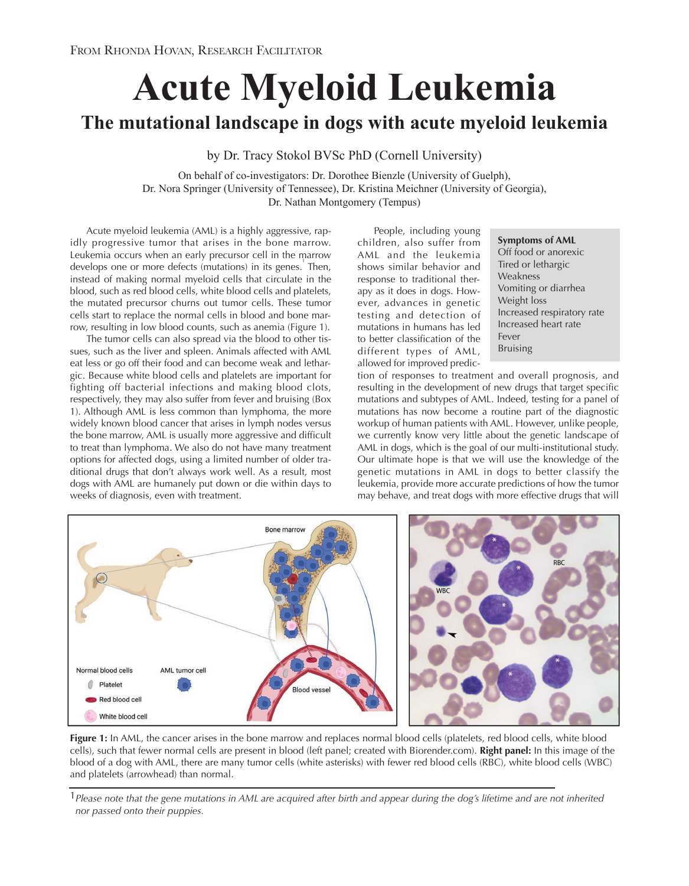# **Acute Myeloid Leukemia**

# **The mutational landscape in dogs with acute myeloid leukemia**

by Dr. Tracy Stokol BVSc PhD (Cornell University)

On behalf of co-investigators: Dr. Dorothee Bienzle (University of Guelph), Dr. Nora Springer (University of Tennessee), Dr. Kristina Meichner (University of Georgia), Dr. Nathan Montgomery (Tempus)

Acute myeloid leukemia (AML) is a highly aggressive, rapidly progressive tumor that arises in the bone marrow. Leukemia occurs when an early precursor cell in the marrow develops one or more defects (mutations) in its genes. Then, instead of making normal myeloid cells that circulate in the blood, such as red blood cells, white blood cells and platelets, the mutated precursor churns out tumor cells. These tumor cells start to replace the normal cells in blood and bone marrow, resulting in low blood counts, such as anemia (Figure 1).

The tumor cells can also spread via the blood to other tissues, such as the liver and spleen. Animals affected with AML eat less or go off their food and can become weak and lethargic. Because white blood cells and platelets are important for fighting off bacterial infections and making blood clots, respectively, they may also suffer from fever and bruising (Box 1). Although AML is less common than lymphoma, the more widely known blood cancer that arises in lymph nodes versus the bone marrow, AML is usually more aggressive and difficult to treat than lymphoma. We also do not have many treatment options for affected dogs, using a limited number of older traditional drugs that don't always work well. As a result, most dogs with AML are humanely put down or die within days to weeks of diagnosis, even with treatment.

People, including young children, also suffer from AML and the leukemia shows similar behavior and response to traditional therapy as it does in dogs. However, advances in genetic testing and detection of mutations in humans has led to better classification of the different types of AML, allowed for improved predic-

#### **Symptoms of AML**

Off food or anorexic Tired or lethargic Weakness Vomiting or diarrhea Weight loss Increased respiratory rate Increased heart rate Fever Bruising

tion of responses to treatment and overall prognosis, and resulting in the development of new drugs that target specific mutations and subtypes of AML. Indeed, testing for a panel of mutations has now become a routine part of the diagnostic workup of human patients with AML. However, unlike people, we currently know very little about the genetic landscape of AML in dogs, which is the goal of our multi-institutional study. Our ultimate hope is that we will use the knowledge of the genetic mutations in AML in dogs to better classify the leukemia, provide more accurate predictions of how the tumor may behave, and treat dogs with more effective drugs that will



**Figure 1:** In AML, the cancer arises in the bone marrow and replaces normal blood cells (platelets, red blood cells, white blood cells), such that fewer normal cells are present in blood (left panel; created with Biorender.com). **Right panel:** In this image of the blood of a dog with AML, there are many tumor cells (white asterisks) with fewer red blood cells (RBC), white blood cells (WBC) and platelets (arrowhead) than normal.

1*Please note that the gene mutations in AML are acquired after birth and appear during the dog's lifetime and are not inherited nor passed onto their puppies.*